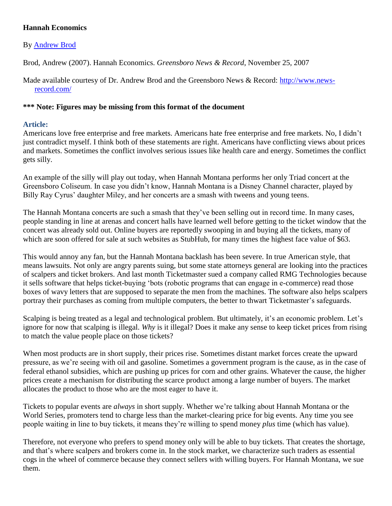## **Hannah Economics**

## By [Andrew Brod](http://libres.uncg.edu/ir/uncg/clist.aspx?id=787)

Brod, Andrew (2007). Hannah Economics. *Greensboro News & Record*, November 25, 2007

Made available courtesy of Dr. Andrew Brod and the Greensboro News & Record: [http://www.news](http://www.news-record.com/)[record.com/](http://www.news-record.com/)

## **\*\*\* Note: Figures may be missing from this format of the document**

## **Article:**

Americans love free enterprise and free markets. Americans hate free enterprise and free markets. No, I didn't just contradict myself. I think both of these statements are right. Americans have conflicting views about prices and markets. Sometimes the conflict involves serious issues like health care and energy. Sometimes the conflict gets silly.

An example of the silly will play out today, when Hannah Montana performs her only Triad concert at the Greensboro Coliseum. In case you didn't know, Hannah Montana is a Disney Channel character, played by Billy Ray Cyrus' daughter Miley, and her concerts are a smash with tweens and young teens.

The Hannah Montana concerts are such a smash that they've been selling out in record time. In many cases, people standing in line at arenas and concert halls have learned well before getting to the ticket window that the concert was already sold out. Online buyers are reportedly swooping in and buying all the tickets, many of which are soon offered for sale at such websites as StubHub, for many times the highest face value of \$63.

This would annoy any fan, but the Hannah Montana backlash has been severe. In true American style, that means lawsuits. Not only are angry parents suing, but some state attorneys general are looking into the practices of scalpers and ticket brokers. And last month Ticketmaster sued a company called RMG Technologies because it sells software that helps ticket-buying 'bots (robotic programs that can engage in e-commerce) read those boxes of wavy letters that are supposed to separate the men from the machines. The software also helps scalpers portray their purchases as coming from multiple computers, the better to thwart Ticketmaster's safeguards.

Scalping is being treated as a legal and technological problem. But ultimately, it's an economic problem. Let's ignore for now that scalping is illegal. *Why* is it illegal? Does it make any sense to keep ticket prices from rising to match the value people place on those tickets?

When most products are in short supply, their prices rise. Sometimes distant market forces create the upward pressure, as we're seeing with oil and gasoline. Sometimes a government program is the cause, as in the case of federal ethanol subsidies, which are pushing up prices for corn and other grains. Whatever the cause, the higher prices create a mechanism for distributing the scarce product among a large number of buyers. The market allocates the product to those who are the most eager to have it.

Tickets to popular events are *always* in short supply. Whether we're talking about Hannah Montana or the World Series, promoters tend to charge less than the market-clearing price for big events. Any time you see people waiting in line to buy tickets, it means they're willing to spend money *plus* time (which has value).

Therefore, not everyone who prefers to spend money only will be able to buy tickets. That creates the shortage, and that's where scalpers and brokers come in. In the stock market, we characterize such traders as essential cogs in the wheel of commerce because they connect sellers with willing buyers. For Hannah Montana, we sue them.